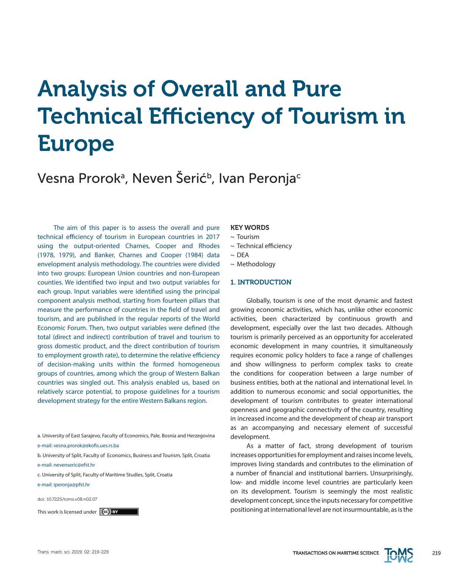# Analysis of Overall and Pure Technical Efficiency of Tourism in Europe

Vesna Prorokª, Neven Šerić<sup>ь</sup>, Ivan Peronja<sup>c</sup>

The aim of this paper is to assess the overall and pure technical efficiency of tourism in European countries in 2017 using the output-oriented Charnes, Cooper and Rhodes (1978, 1979), and Banker, Charnes and Cooper (1984) data envelopment analysis methodology. The countries were divided into two groups: European Union countries and non-European counties. We identified two input and two output variables for each group. Input variables were identified using the principal component analysis method, starting from fourteen pillars that measure the performance of countries in the field of travel and tourism, and are published in the regular reports of the World Economic Forum. Then, two output variables were defined (the total (direct and indirect) contribution of travel and tourism to gross domestic product, and the direct contribution of tourism to employment growth rate), to determine the relative efficiency of decision-making units within the formed homogeneous groups of countries, among which the group of Western Balkan countries was singled out. This analysis enabled us, based on relatively scarce potential, to propose guidelines for a tourism development strategy for the entire Western Balkans region.

- a. University of East Sarajevo, Faculty of Economics, Pale, Bosnia and Herzegovina
- e-mail: vesna.prorok@ekofis.ues.rs.ba
- b. University of Split, Faculty of Economics, Business and Tourism, Split, Croatia
- e-mail: nevenseric@efst.hr
- c. University of Split, Faculty of Maritime Studies, Split, Croatia
- e-mail: iperonja@pfst.hr
- doi: 10.7225/toms.v08.n02.07
- 

#### KEY WORDS

- $\sim$  Tourism
- ~ Technical efficiency
- $\sim$  DFA
- ~ Methodology

#### 1. INTRODUCTION

Globally, tourism is one of the most dynamic and fastest growing economic activities, which has, unlike other economic activities, been characterized by continuous growth and development, especially over the last two decades. Although tourism is primarily perceived as an opportunity for accelerated economic development in many countries, it simultaneously requires economic policy holders to face a range of challenges and show willingness to perform complex tasks to create the conditions for cooperation between a large number of business entities, both at the national and international level. In addition to numerous economic and social opportunities, the development of tourism contributes to greater international openness and geographic connectivity of the country, resulting in increased income and the development of cheap air transport as an accompanying and necessary element of successful development.

As a matter of fact, strong development of tourism increases opportunities for employment and raises income levels, improves living standards and contributes to the elimination of a number of financial and institutional barriers. Unsurprisingly, low- and middle income level countries are particularly keen on its development. Tourism is seemingly the most realistic development concept, since the inputs necessary for competitive This work is licensed under  $\ket{ce}$  **by Example 2018 Example 2018 Example 2018 Example 2018 Example 2019 Example 2019 Example 2019 Example 2019 Example 2019 Example 2019 Example 2019 Example 2019**

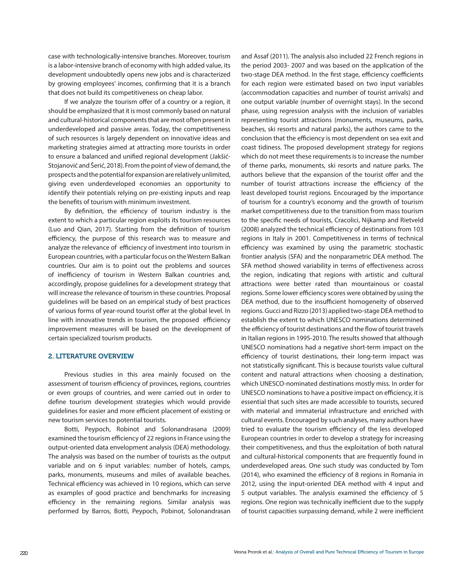case with technologically-intensive branches. Moreover, tourism is a labor-intensive branch of economy with high added value, its development undoubtedly opens new jobs and is characterized by growing employees' incomes, confirming that it is a branch that does not build its competitiveness on cheap labor.

If we analyze the tourism offer of a country or a region, it should be emphasized that it is most commonly based on natural and cultural-historical components that are most often present in underdeveloped and passive areas. Today, the competitiveness of such resources is largely dependent on innovative ideas and marketing strategies aimed at attracting more tourists in order to ensure a balanced and unified regional development (Jakšić-Stojanović and Šerić, 2018). From the point of view of demand, the prospects and the potential for expansion are relatively unlimited, giving even underdeveloped economies an opportunity to identify their potentials relying on pre-existing inputs and reap the benefits of tourism with minimum investment.

By definition, the efficiency of tourism industry is the extent to which a particular region exploits its tourism resources (Luo and Qian, 2017). Starting from the definition of tourism efficiency, the purpose of this research was to measure and analyze the relevance of efficiency of investment into tourism in European countries, with a particular focus on the Western Balkan countries. Our aim is to point out the problems and sources of inefficiency of tourism in Western Balkan countries and, accordingly, propose guidelines for a development strategy that will increase the relevance of tourism in these countries. Proposal guidelines will be based on an empirical study of best practices of various forms of year-round tourist offer at the global level. In line with innovative trends in tourism, the proposed efficiency improvement measures will be based on the development of certain specialized tourism products.

#### 2. LITERATURE OVERVIEW

Previous studies in this area mainly focused on the assessment of tourism efficiency of provinces, regions, countries or even groups of countries, and were carried out in order to define tourism development strategies which would provide guidelines for easier and more efficient placement of existing or new tourism services to potential tourists.

Botti, Peypoch, Robinot and Solonandrasana (2009) examined the tourism efficiency of 22 regions in France using the output-oriented data envelopment analysis (DEA) methodology. The analysis was based on the number of tourists as the output variable and on 6 input variables: number of hotels, camps, parks, monuments, museums and miles of available beaches. Technical efficiency was achieved in 10 regions, which can serve as examples of good practice and benchmarks for increasing efficiency in the remaining regions. Similar analysis was performed by Barros, Botti, Peypoch, Pobinot, Solonandrasan

and Assaf (2011). The analysis also included 22 French regions in the period 2003- 2007 and was based on the application of the two-stage DEA method. In the first stage, efficiency coefficients for each region were estimated based on two input variables (accommodation capacities and number of tourist arrivals) and one output variable (number of overnight stays). In the second phase, using regression analysis with the inclusion of variables representing tourist attractions (monuments, museums, parks, beaches, ski resorts and natural parks), the authors came to the conclusion that the efficiency is most dependent on sea exit and coast tidiness. The proposed development strategy for regions which do not meet these requirements is to increase the number of theme parks, monuments, ski resorts and nature parks. The authors believe that the expansion of the tourist offer and the number of tourist attractions increase the efficiency of the least developed tourist regions. Encouraged by the importance of tourism for a country's economy and the growth of tourism market competitiveness due to the transition from mass tourism to the specific needs of tourists, Cracolici, Nijkamp and Rietveld (2008) analyzed the technical efficiency of destinations from 103 regions in Italy in 2001. Competitiveness in terms of technical efficiency was examined by using the parametric stochastic frontier analysis (SFA) and the nonparametric DEA method. The SFA method showed variability in terms of effectiveness across the region, indicating that regions with artistic and cultural attractions were better rated than mountainous or coastal regions. Some lower efficiency scores were obtained by using the DEA method, due to the insufficient homogeneity of observed regions. Gucci and Rizzo (2013) applied two-stage DEA method to establish the extent to which UNESCO nominations determined the efficiency of tourist destinations and the flow of tourist travels in Italian regions in 1995-2010. The results showed that although UNESCO nominations had a negative short-term impact on the efficiency of tourist destinations, their long-term impact was not statistically significant. This is because tourists value cultural content and natural attractions when choosing a destination, which UNESCO-nominated destinations mostly miss. In order for UNESCO nominations to have a positive impact on efficiency, it is essential that such sites are made accessible to tourists, secured with material and immaterial infrastructure and enriched with cultural events. Encouraged by such analyses, many authors have tried to evaluate the tourism efficiency of the less developed European countries in order to develop a strategy for increasing their competitiveness, and thus the exploitation of both natural and cultural-historical components that are frequently found in underdeveloped areas. One such study was conducted by Tom (2014), who examined the efficiency of 8 regions in Romania in 2012, using the input-oriented DEA method with 4 input and 5 output variables. The analysis examined the efficiency of 5 regions. One region was technically inefficient due to the supply of tourist capacities surpassing demand, while 2 were inefficient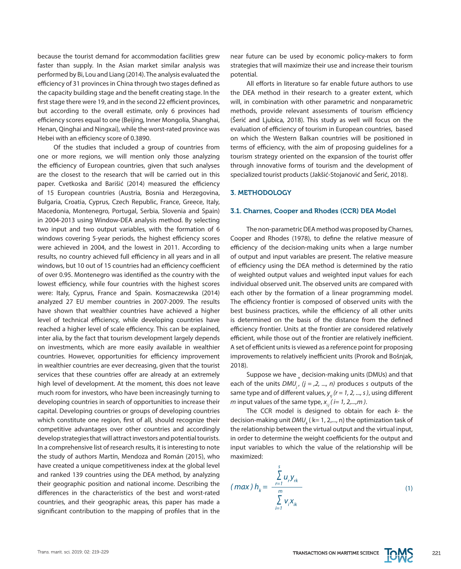because the tourist demand for accommodation facilities grew faster than supply. In the Asian market similar analysis was performed by Bi, Lou and Liang (2014). The analysis evaluated the efficiency of 31 provinces in China through two stages defined as the capacity building stage and the benefit creating stage. In the first stage there were 19, and in the second 22 efficient provinces, but according to the overall estimate, only 6 provinces had efficiency scores equal to one (Beijing, Inner Mongolia, Shanghai, Henan, Qinghai and Ningxai), while the worst-rated province was Hebei with an efficiency score of 0.3890.

Of the studies that included a group of countries from one or more regions, we will mention only those analyzing the efficiency of European countries, given that such analyses are the closest to the research that will be carried out in this paper. Cvetkoska and Barišić (2014) measured the efficiency of 15 European countries (Austria, Bosnia and Herzegovina, Bulgaria, Croatia, Cyprus, Czech Republic, France, Greece, Italy, Macedonia, Montenegro, Portugal, Serbia, Slovenia and Spain) in 2004-2013 using Window-DEA analysis method. By selecting two input and two output variables, with the formation of 6 windows covering 5-year periods, the highest efficiency scores were achieved in 2004, and the lowest in 2011. According to results, no country achieved full efficiency in all years and in all windows, but 10 out of 15 countries had an efficiency coefficient of over 0.95. Montenegro was identified as the country with the lowest efficiency, while four countries with the highest scores were: Italy, Cyprus, France and Spain. Kosmaczewska (2014) analyzed 27 EU member countries in 2007-2009. The results have shown that wealthier countries have achieved a higher level of technical efficiency, while developing countries have reached a higher level of scale efficiency. This can be explained, inter alia, by the fact that tourism development largely depends on investments, which are more easily available in wealthier countries. However, opportunities for efficiency improvement in wealthier countries are ever decreasing, given that the tourist services that these countries offer are already at an extremely high level of development. At the moment, this does not leave much room for investors, who have been increasingly turning to developing countries in search of opportunities to increase their capital. Developing countries or groups of developing countries which constitute one region, first of all, should recognize their competitive advantages over other countries and accordingly develop strategies that will attract investors and potential tourists. In a comprehensive list of research results, it is interesting to note the study of authors Martín, Mendoza and Román (2015), who have created a unique competitiveness index at the global level and ranked 139 countries using the DEA method, by analyzing their geographic position and national income. Describing the differences in the characteristics of the best and worst-rated countries, and their geographic areas, this paper has made a significant contribution to the mapping of profiles that in the near future can be used by economic policy-makers to form strategies that will maximize their use and increase their tourism potential.

All efforts in literature so far enable future authors to use the DEA method in their research to a greater extent, which will, in combination with other parametric and nonparametric methods, provide relevant assessments of tourism efficiency (Šerić and Ljubica, 2018). This study as well will focus on the evaluation of efficiency of tourism in European countries, based on which the Western Balkan countries will be positioned in terms of efficiency, with the aim of proposing guidelines for a tourism strategy oriented on the expansion of the tourist offer through innovative forms of tourism and the development of specialized tourist products (Jakšić-Stojanović and Šerić, 2018).

# 3. METHODOLOGY

#### 3.1. Charnes, Cooper and Rhodes (CCR) DEA Model

The non-parametric DEA method was proposed by Charnes, Cooper and Rhodes (1978), to define the relative measure of efficiency of the decision-making units when a large number of output and input variables are present. The relative measure of efficiency using the DEA method is determined by the ratio of weighted output values and weighted input values for each individual observed unit. The observed units are compared with each other by the formation of a linear programming model. The efficiency frontier is composed of observed units with the best business practices, while the efficiency of all other units is determined on the basis of the distance from the defined efficiency frontier. Units at the frontier are considered relatively efficient, while those out of the frontier are relatively inefficient. A set of efficient units is viewed as a reference point for proposing improvements to relatively inefficient units (Prorok and Bošnjak, 2018).

Suppose we have  $_{\textsf{n}}$  decision-making units (DMUs) and that each of the units  $DMU_i$ ,  $(j = 2, ..., n)$  produces *s* outputs of the same type and of different values,  $y_i$   $(r = 1, 2, ..., s)$ , using different *m* input values of the same type,  $x_{ij}$  (*i*= 1, 2,...,*m*).

The CCR model is designed to obtain for each *k-* the decision-making unit *DMU<sub>k</sub>* ( k= 1, 2,..., n) the optimization task of the relationship between the virtual output and the virtual input, in order to determine the weight coefficients for the output and input variables to which the value of the relationship will be maximized:

$$
(max) h_{k} = \frac{\sum_{r=1}^{s} u_{r} y_{rk}}{\sum_{i=1}^{m} v_{i} x_{ik}}
$$
 (1)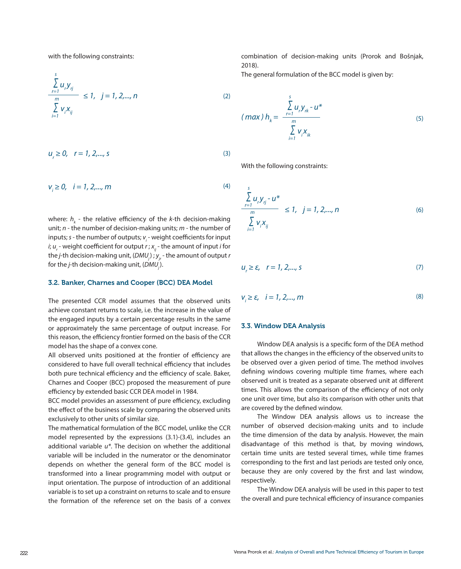with the following constraints:

$$
\frac{\sum_{r=1}^{s} u_r y_{rj}}{\sum_{i=1}^{m} v_i x_{ij}} \le 1, \ \ j = 1, 2, ..., n
$$
\n(2)

$$
u_r \ge 0, \quad r = 1, 2, ..., s
$$
 (3)

$$
v_i \ge 0, \quad i = 1, 2, ..., m
$$
 (4)

where:  $h_{\scriptscriptstyle{k}}$  - the relative efficiency of the *k*-th decision-making unit; *n* - the number of decision-making units; *m* - the number of inputs; *s* - the number of outputs;  $v_{i}$  - weight coefficients for input *i*; *u<sub>,</sub>* - weight coefficient for output *r* ; *x<sub>ij</sub>* - the amount of input *i* for the *j*-th decision-making unit, (DMU<sub>i</sub>);  $y_i$ -the amount of output *r* for the *j*-th decision-making unit, (*DMU*<sub>j</sub>).

### 3.2. Banker, Charnes and Cooper (BCC) DEA Model

The presented CCR model assumes that the observed units achieve constant returns to scale, i.e. the increase in the value of the engaged inputs by a certain percentage results in the same or approximately the same percentage of output increase. For this reason, the efficiency frontier formed on the basis of the CCR model has the shape of a convex cone.

All observed units positioned at the frontier of efficiency are considered to have full overall technical efficiency that includes both pure technical efficiency and the efficiency of scale. Baker, Charnes and Cooper (BCC) proposed the measurement of pure efficiency by extended basic CCR DEA model in 1984.

BCC model provides an assessment of pure efficiency, excluding the effect of the business scale by comparing the observed units exclusively to other units of similar size.

The mathematical formulation of the BCC model, unlike the CCR model represented by the expressions (3.1)-(3.4), includes an additional variable *u\**. The decision on whether the additional variable will be included in the numerator or the denominator depends on whether the general form of the BCC model is transformed into a linear programming model with output or input orientation. The purpose of introduction of an additional variable is to set up a constraint on returns to scale and to ensure the formation of the reference set on the basis of a convex combination of decision-making units (Prorok and Bošnjak, 2018).

The general formulation of the BCC model is given by:

$$
(max) h_k = \frac{\sum_{r=1}^{s} u_r y_{rk} - u^*}{\sum_{i=1}^{m} v_i x_{ik}}
$$
 (5)

With the following constraints:

$$
\frac{\sum_{r=1}^{s} u_r y_{rj} - u^*}{\sum_{i=1}^{m} v_i x_{ij}} \le 1, \quad j = 1, 2, ..., n
$$
 (6)

$$
u_r \ge \varepsilon, \quad r = 1, 2, \dots, s \tag{7}
$$

$$
V_i \ge \varepsilon, \quad i = 1, 2, \dots, m \tag{8}
$$

#### 3.3. Window DEA Analysis

Window DEA analysis is a specific form of the DEA method that allows the changes in the efficiency of the observed units to be observed over a given period of time. The method involves defining windows covering multiple time frames, where each observed unit is treated as a separate observed unit at different times. This allows the comparison of the efficiency of not only one unit over time, but also its comparison with other units that are covered by the defined window.

The Window DEA analysis allows us to increase the number of observed decision-making units and to include the time dimension of the data by analysis. However, the main disadvantage of this method is that, by moving windows, certain time units are tested several times, while time frames corresponding to the first and last periods are tested only once, because they are only covered by the first and last window, respectively.

The Window DEA analysis will be used in this paper to test the overall and pure technical efficiency of insurance companies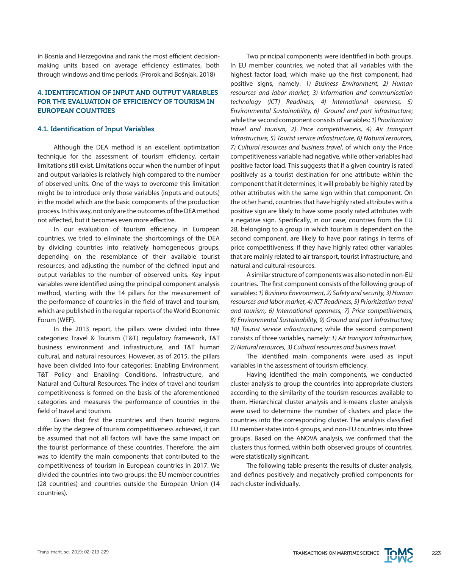in Bosnia and Herzegovina and rank the most efficient decisionmaking units based on average efficiency estimates, both through windows and time periods. (Prorok and Bošnjak, 2018)

# 4. IDENTIFICATION OF INPUT AND OUTPUT VARIABLES FOR THE EVALUATION OF EFFICIENCY OF TOURISM IN EUROPEAN COUNTRIES

## 4.1. Identification of Input Variables

Although the DEA method is an excellent optimization technique for the assessment of tourism efficiency, certain limitations still exist. Limitations occur when the number of input and output variables is relatively high compared to the number of observed units. One of the ways to overcome this limitation might be to introduce only those variables (inputs and outputs) in the model which are the basic components of the production process. In this way, not only are the outcomes of the DEA method not affected, but it becomes even more effective.

In our evaluation of tourism efficiency in European countries, we tried to eliminate the shortcomings of the DEA by dividing countries into relatively homogeneous groups, depending on the resemblance of their available tourist resources, and adjusting the number of the defined input and output variables to the number of observed units. Key input variables were identified using the principal component analysis method, starting with the 14 pillars for the measurement of the performance of countries in the field of travel and tourism, which are published in the regular reports of the World Economic Forum (WEF).

In the 2013 report, the pillars were divided into three categories: Travel & Tourism (T&T) regulatory framework, T&T business environment and infrastructure, and T&T human cultural, and natural resources. However, as of 2015, the pillars have been divided into four categories: Enabling Environment, T&T Policy and Enabling Conditions, Infrastructure, and Natural and Cultural Resources. The index of travel and tourism competitiveness is formed on the basis of the aforementioned categories and measures the performance of countries in the field of travel and tourism.

Given that first the countries and then tourist regions differ by the degree of tourism competitiveness achieved, it can be assumed that not all factors will have the same impact on the tourist performance of these countries. Therefore, the aim was to identify the main components that contributed to the competitiveness of tourism in European countries in 2017. We divided the countries into two groups: the EU member countries (28 countries) and countries outside the European Union (14 countries).

Two principal components were identified in both groups. In EU member countries, we noted that all variables with the highest factor load, which make up the first component, had positive signs, namely: *1) Business Environment, 2) Human resources and labor market, 3) Information and communication technology (ICT) Readiness, 4) International openness, 5) Environmental Sustainability, 6) Ground and port infrastructure*; while the second component consists of variables: *1) Prioritization travel and tourism, 2) Price competitiveness, 4) Air transport infrastructure, 5) Tourist service infrastructure, 6) Natural resources, 7) Cultural resources and business travel*, of which only the Price competitiveness variable had negative, while other variables had positive factor load. This suggests that if a given country is rated positively as a tourist destination for one attribute within the component that it determines, it will probably be highly rated by other attributes with the same sign within that component. On the other hand, countries that have highly rated attributes with a positive sign are likely to have some poorly rated attributes with a negative sign. Specifically, in our case, countries from the EU 28, belonging to a group in which tourism is dependent on the second component, are likely to have poor ratings in terms of price competitiveness, if they have highly rated other variables that are mainly related to air transport, tourist infrastructure, and natural and cultural resources.

A similar structure of components was also noted in non-EU countries. The first component consists of the following group of variables: *1) Business Environment, 2) Safety and security, 3) Human resources and labor market, 4) ICT Readiness, 5) Prioritization travel and tourism, 6) International openness, 7) Price competitiveness, 8) Environmental Sustainability, 9) Ground and port infrastructure; 10) Tourist service infrastructure*; while the second component consists of three variables, namely: *1) Air transport infrastructure, 2) Natural resources, 3) Cultural resources and business travel*.

The identified main components were used as input variables in the assessment of tourism efficiency.

Having identified the main components, we conducted cluster analysis to group the countries into appropriate clusters according to the similarity of the tourism resources available to them. Hierarchical cluster analysis and k-means cluster analysis were used to determine the number of clusters and place the countries into the corresponding cluster. The analysis classified EU member states into 4 groups, and non-EU countries into three groups. Based on the ANOVA analysis, we confirmed that the clusters thus formed, within both observed groups of countries, were statistically significant.

The following table presents the results of cluster analysis, and defines positively and negatively profiled components for each cluster individually.

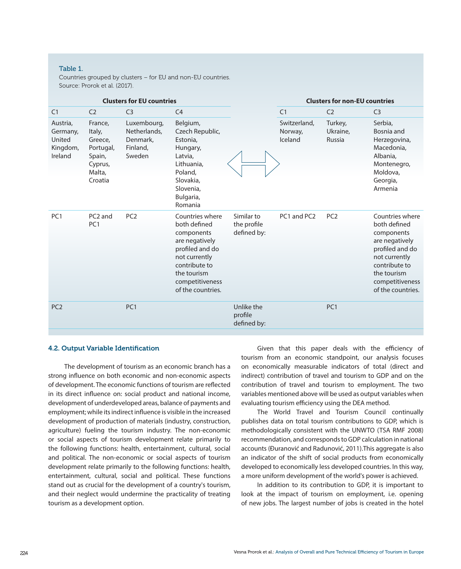# Table 1.

Countries grouped by clusters – for EU and non-EU countries. Source: Prorok et al. (2017).

| <b>Clusters for EU countries</b>                      |                                                                                     |                                                               |                                                                                                                                                                             |                                          | <b>Clusters for non-EU countries</b> |                               |                                                                                                                                                                             |
|-------------------------------------------------------|-------------------------------------------------------------------------------------|---------------------------------------------------------------|-----------------------------------------------------------------------------------------------------------------------------------------------------------------------------|------------------------------------------|--------------------------------------|-------------------------------|-----------------------------------------------------------------------------------------------------------------------------------------------------------------------------|
| C <sub>1</sub>                                        | C <sub>2</sub>                                                                      | C <sub>3</sub>                                                | C <sub>4</sub>                                                                                                                                                              |                                          | C <sub>1</sub>                       | C <sub>2</sub>                | C <sub>3</sub>                                                                                                                                                              |
| Austria,<br>Germany,<br>United<br>Kingdom,<br>Ireland | France,<br>Italy,<br>Greece,<br>Portugal,<br>Spain,<br>Cyprus,<br>Malta,<br>Croatia | Luxembourg,<br>Netherlands,<br>Denmark,<br>Finland,<br>Sweden | Belgium,<br>Czech Republic,<br>Estonia,<br>Hungary,<br>Latvia,<br>Lithuania,<br>Poland,<br>Slovakia,<br>Slovenia.<br>Bulgaria,<br>Romania                                   |                                          | Switzerland,<br>Norway,<br>Iceland   | Turkey,<br>Ukraine,<br>Russia | Serbia,<br>Bosnia and<br>Herzegovina,<br>Macedonia,<br>Albania,<br>Montenegro,<br>Moldova,<br>Georgia,<br>Armenia                                                           |
| PC <sub>1</sub>                                       | PC <sub>2</sub> and<br>PC <sub>1</sub>                                              | PC <sub>2</sub>                                               | Countries where<br>both defined<br>components<br>are negatively<br>profiled and do<br>not currently<br>contribute to<br>the tourism<br>competitiveness<br>of the countries. | Similar to<br>the profile<br>defined by: | PC1 and PC2                          | PC <sub>2</sub>               | Countries where<br>both defined<br>components<br>are negatively<br>profiled and do<br>not currently<br>contribute to<br>the tourism<br>competitiveness<br>of the countries. |
| PC <sub>2</sub>                                       |                                                                                     | PC <sub>1</sub>                                               |                                                                                                                                                                             | Unlike the<br>profile<br>defined by:     |                                      | PC <sub>1</sub>               |                                                                                                                                                                             |

# 4.2. Output Variable Identification

The development of tourism as an economic branch has a strong influence on both economic and non-economic aspects of development. The economic functions of tourism are reflected in its direct influence on: social product and national income, development of underdeveloped areas, balance of payments and employment; while its indirect influence is visible in the increased development of production of materials (industry, construction, agriculture) fueling the tourism industry. The non-economic or social aspects of tourism development relate primarily to the following functions: health, entertainment, cultural, social and political. The non-economic or social aspects of tourism development relate primarily to the following functions: health, entertainment, cultural, social and political. These functions stand out as crucial for the development of a country's tourism, and their neglect would undermine the practicality of treating tourism as a development option.

Given that this paper deals with the efficiency of tourism from an economic standpoint, our analysis focuses on economically measurable indicators of total (direct and indirect) contribution of travel and tourism to GDP and on the contribution of travel and tourism to employment. The two variables mentioned above will be used as output variables when evaluating tourism efficiency using the DEA method.

The World Travel and Tourism Council continually publishes data on total tourism contributions to GDP, which is methodologically consistent with the UNWTO (TSA RMF 2008) recommendation, and corresponds to GDP calculation in national accounts (Đuranović and Radunović, 2011).This aggregate is also an indicator of the shift of social products from economically developed to economically less developed countries. In this way, a more uniform development of the world's power is achieved.

In addition to its contribution to GDP, it is important to look at the impact of tourism on employment, i.e. opening of new jobs. The largest number of jobs is created in the hotel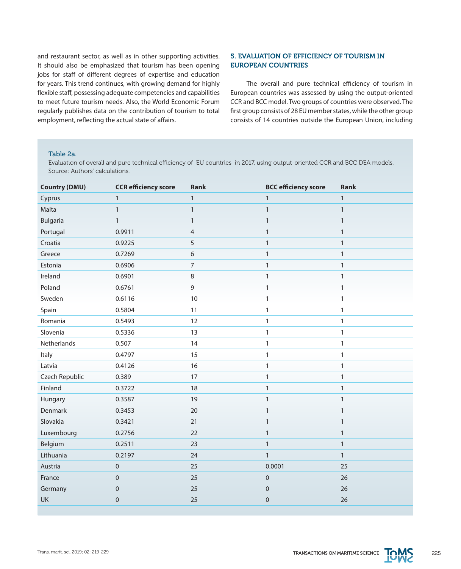and restaurant sector, as well as in other supporting activities. It should also be emphasized that tourism has been opening jobs for staff of different degrees of expertise and education for years. This trend continues, with growing demand for highly flexible staff, possessing adequate competencies and capabilities to meet future tourism needs. Also, the World Economic Forum regularly publishes data on the contribution of tourism to total employment, reflecting the actual state of affairs.

# 5. EVALUATION OF EFFICIENCY OF TOURISM IN EUROPEAN COUNTRIES

The overall and pure technical efficiency of tourism in European countries was assessed by using the output-oriented CCR and BCC model. Two groups of countries were observed. The first group consists of 28 EU member states, while the other group consists of 14 countries outside the European Union, including

#### Table 2a.

Evaluation of overall and pure technical efficiency of EU countries in 2017, using output-oriented CCR and BCC DEA models. Source: Authors' calculations.

| <b>Country (DMU)</b> | <b>CCR</b> efficiency score | Rank           | <b>BCC efficiency score</b> | Rank         |
|----------------------|-----------------------------|----------------|-----------------------------|--------------|
| Cyprus               | $\mathbf{1}$                | $\mathbf{1}$   | $\mathbf{1}$                | $\mathbf{1}$ |
| Malta                | $\mathbf{1}$                | $\mathbf{1}$   | $\mathbf{1}$                | $\mathbf{1}$ |
| <b>Bulgaria</b>      | $\mathbf{1}$                | $\mathbf{1}$   | $\mathbf{1}$                | $\mathbf{1}$ |
| Portugal             | 0.9911                      | $\overline{4}$ | $\mathbf{1}$                | $\mathbf{1}$ |
| Croatia              | 0.9225                      | 5              | $\mathbf{1}$                | $\mathbf{1}$ |
| Greece               | 0.7269                      | 6              | $\mathbf{1}$                | $\mathbf{1}$ |
| Estonia              | 0.6906                      | $\overline{7}$ | $\mathbf{1}$                | $\mathbf{1}$ |
| Ireland              | 0.6901                      | 8              | $\mathbf{1}$                | $\mathbf{1}$ |
| Poland               | 0.6761                      | 9              | $\mathbf{1}$                | $\mathbf{1}$ |
| Sweden               | 0.6116                      | 10             | $\mathbf{1}$                | $\mathbf{1}$ |
| Spain                | 0.5804                      | 11             | $\mathbf{1}$                | $\mathbf{1}$ |
| Romania              | 0.5493                      | 12             | $\mathbf{1}$                | $\mathbf{1}$ |
| Slovenia             | 0.5336                      | 13             | 1                           | $\mathbf{1}$ |
| Netherlands          | 0.507                       | 14             | 1                           | $\mathbf{1}$ |
| Italy                | 0.4797                      | 15             | 1                           | $\mathbf{1}$ |
| Latvia               | 0.4126                      | 16             | $\mathbf{1}$                | $\mathbf{1}$ |
| Czech Republic       | 0.389                       | 17             | 1                           | $\mathbf{1}$ |
| Finland              | 0.3722                      | 18             | $\mathbf{1}$                | $\mathbf{1}$ |
| Hungary              | 0.3587                      | 19             | $\mathbf{1}$                | $\mathbf{1}$ |
| Denmark              | 0.3453                      | 20             | $\mathbf{1}$                | $\mathbf{1}$ |
| Slovakia             | 0.3421                      | 21             | $\mathbf{1}$                | $\mathbf{1}$ |
| Luxembourg           | 0.2756                      | 22             | $\mathbf{1}$                | $\mathbf{1}$ |
| Belgium              | 0.2511                      | 23             | $\mathbf{1}$                | $\mathbf{1}$ |
| Lithuania            | 0.2197                      | 24             | $\mathbf{1}$                | $\mathbf{1}$ |
| Austria              | $\mathbf 0$                 | 25             | 0.0001                      | 25           |
| France               | $\mathbf 0$                 | 25             | 0                           | 26           |
| Germany              | $\mathsf{O}\xspace$         | 25             | $\pmb{0}$                   | 26           |
| <b>UK</b>            | $\mathbf 0$                 | 25             | $\mathbf 0$                 | 26           |
|                      |                             |                |                             |              |

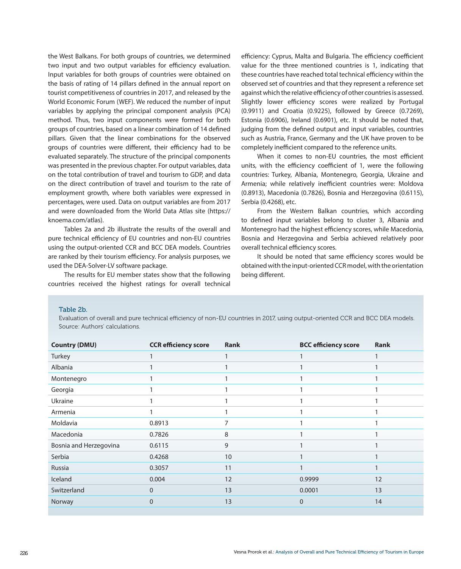the West Balkans. For both groups of countries, we determined two input and two output variables for efficiency evaluation. Input variables for both groups of countries were obtained on the basis of rating of 14 pillars defined in the annual report on tourist competitiveness of countries in 2017, and released by the World Economic Forum (WEF). We reduced the number of input variables by applying the principal component analysis (PCA) method. Thus, two input components were formed for both groups of countries, based on a linear combination of 14 defined pillars. Given that the linear combinations for the observed groups of countries were different, their efficiency had to be evaluated separately. The structure of the principal components was presented in the previous chapter. For output variables, data on the total contribution of travel and tourism to GDP, and data on the direct contribution of travel and tourism to the rate of employment growth, where both variables were expressed in percentages, were used. Data on output variables are from 2017 and were downloaded from the World Data Atlas site (https:// knoema.com/atlas).

Tables 2a and 2b illustrate the results of the overall and pure technical efficiency of EU countries and non-EU countries using the output-oriented CCR and BCC DEA models. Countries are ranked by their tourism efficiency. For analysis purposes, we used the DEA-Solver-LV software package.

The results for EU member states show that the following countries received the highest ratings for overall technical efficiency: Cyprus, Malta and Bulgaria. The efficiency coefficient value for the three mentioned countries is 1, indicating that these countries have reached total technical efficiency within the observed set of countries and that they represent a reference set against which the relative efficiency of other countries is assessed. Slightly lower efficiency scores were realized by Portugal (0.9911) and Croatia (0.9225), followed by Greece (0.7269), Estonia (0.6906), Ireland (0.6901), etc. It should be noted that, judging from the defined output and input variables, countries such as Austria, France, Germany and the UK have proven to be completely inefficient compared to the reference units.

When it comes to non-EU countries, the most efficient units, with the efficiency coefficient of 1, were the following countries: Turkey, Albania, Montenegro, Georgia, Ukraine and Armenia; while relatively inefficient countries were: Moldova (0.8913), Macedonia (0.7826), Bosnia and Herzegovina (0.6115), Serbia (0.4268), etc.

From the Western Balkan countries, which according to defined input variables belong to cluster 3, Albania and Montenegro had the highest efficiency scores, while Macedonia, Bosnia and Herzegovina and Serbia achieved relatively poor overall technical efficiency scores.

It should be noted that same efficiency scores would be obtained with the input-oriented CCR model, with the orientation being different.

#### Table 2b.

Evaluation of overall and pure technical efficiency of non-EU countries in 2017, using output-oriented CCR and BCC DEA models. Source: Authors' calculations.

| <b>CCR</b> efficiency score | Rank | <b>BCC efficiency score</b> | <b>Rank</b> |
|-----------------------------|------|-----------------------------|-------------|
|                             |      |                             |             |
|                             |      |                             |             |
|                             |      |                             |             |
|                             |      |                             |             |
|                             |      |                             |             |
|                             |      |                             |             |
| 0.8913                      |      |                             |             |
| 0.7826                      | 8    |                             |             |
| 0.6115                      | 9    |                             |             |
| 0.4268                      | 10   |                             |             |
| 0.3057                      | 11   |                             |             |
| 0.004                       | 12   | 0.9999                      | 12          |
| $\overline{0}$              | 13   | 0.0001                      | 13          |
| $\overline{0}$              | 13   | $\mathbf{0}$                | 14          |
|                             |      |                             |             |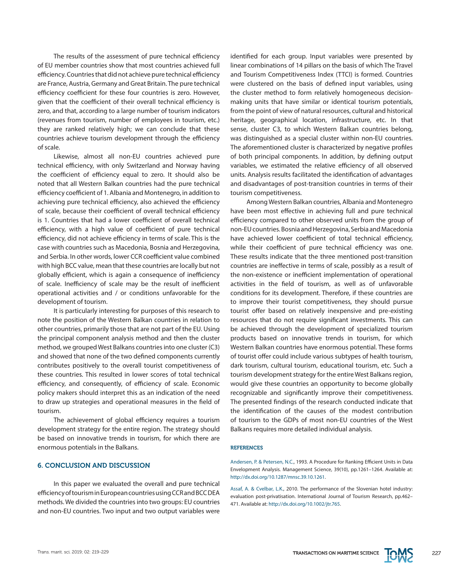The results of the assessment of pure technical efficiency of EU member countries show that most countries achieved full efficiency. Countries that did not achieve pure technical efficiency are France, Austria, Germany and Great Britain. The pure technical efficiency coefficient for these four countries is zero. However, given that the coefficient of their overall technical efficiency is zero, and that, according to a large number of tourism indicators (revenues from tourism, number of employees in tourism, etc.) they are ranked relatively high; we can conclude that these countries achieve tourism development through the efficiency of scale.

Likewise, almost all non-EU countries achieved pure technical efficiency, with only Switzerland and Norway having the coefficient of efficiency equal to zero. It should also be noted that all Western Balkan countries had the pure technical efficiency coefficient of 1. Albania and Montenegro, in addition to achieving pure technical efficiency, also achieved the efficiency of scale, because their coefficient of overall technical efficiency is 1. Countries that had a lower coefficient of overall technical efficiency, with a high value of coefficient of pure technical efficiency, did not achieve efficiency in terms of scale. This is the case with countries such as Macedonia, Bosnia and Herzegovina, and Serbia. In other words, lower CCR coefficient value combined with high BCC value, mean that these countries are locally but not globally efficient, which is again a consequence of inefficiency of scale. Inefficiency of scale may be the result of inefficient operational activities and / or conditions unfavorable for the development of tourism.

It is particularly interesting for purposes of this research to note the position of the Western Balkan countries in relation to other countries, primarily those that are not part of the EU. Using the principal component analysis method and then the cluster method, we grouped West Balkans countries into one cluster (C3) and showed that none of the two defined components currently contributes positively to the overall tourist competitiveness of these countries. This resulted in lower scores of total technical efficiency, and consequently, of efficiency of scale. Economic policy makers should interpret this as an indication of the need to draw up strategies and operational measures in the field of tourism.

The achievement of global efficiency requires a tourism development strategy for the entire region. The strategy should be based on innovative trends in tourism, for which there are enormous potentials in the Balkans.

# 6. CONCLUSION AND DISCUSSION

In this paper we evaluated the overall and pure technical efficiency of tourism in European countries using CCR and BCC DEA methods. We divided the countries into two groups: EU countries and non-EU countries. Two input and two output variables were

identified for each group. Input variables were presented by linear combinations of 14 pillars on the basis of which The Travel and Tourism Competitiveness Index (TTCI) is formed. Countries were clustered on the basis of defined input variables, using the cluster method to form relatively homogeneous decisionmaking units that have similar or identical tourism potentials, from the point of view of natural resources, cultural and historical heritage, geographical location, infrastructure, etc. In that sense, cluster C3, to which Western Balkan countries belong, was distinguished as a special cluster within non-EU countries. The aforementioned cluster is characterized by negative profiles of both principal components. In addition, by defining output variables, we estimated the relative efficiency of all observed units. Analysis results facilitated the identification of advantages and disadvantages of post-transition countries in terms of their tourism competitiveness.

Among Western Balkan countries, Albania and Montenegro have been most effective in achieving full and pure technical efficiency compared to other observed units from the group of non-EU countries. Bosnia and Herzegovina, Serbia and Macedonia have achieved lower coefficient of total technical efficiency, while their coefficient of pure technical efficiency was one. These results indicate that the three mentioned post-transition countries are ineffective in terms of scale, possibly as a result of the non-existence or inefficient implementation of operational activities in the field of tourism, as well as of unfavorable conditions for its development. Therefore, if these countries are to improve their tourist competitiveness, they should pursue tourist offer based on relatively inexpensive and pre-existing resources that do not require significant investments. This can be achieved through the development of specialized tourism products based on innovative trends in tourism, for which Western Balkan countries have enormous potential. These forms of tourist offer could include various subtypes of health tourism, dark tourism, cultural tourism, educational tourism, etc. Such a tourism development strategy for the entire West Balkans region, would give these countries an opportunity to become globally recognizable and significantly improve their competitiveness. The presented findings of the research conducted indicate that the identification of the causes of the modest contribution of tourism to the GDPs of most non-EU countries of the West Balkans requires more detailed individual analysis.

#### **REFERENCES**

Andersen, P. & Petersen, N.C., 1993. A Procedure for Ranking Efficient Units in Data Envelopment Analysis. Management Science, 39(10), pp.1261–1264. Available at: <http://dx.doi.org/10.1287/mnsc.39.10.1261>.

Assaf, A. & Cvelbar, L.K., 2010. The performance of the Slovenian hotel industry: evaluation post-privatisation. International Journal of Tourism Research, pp.462– 471. Available at:<http://dx.doi.org/10.1002/jtr.765>.

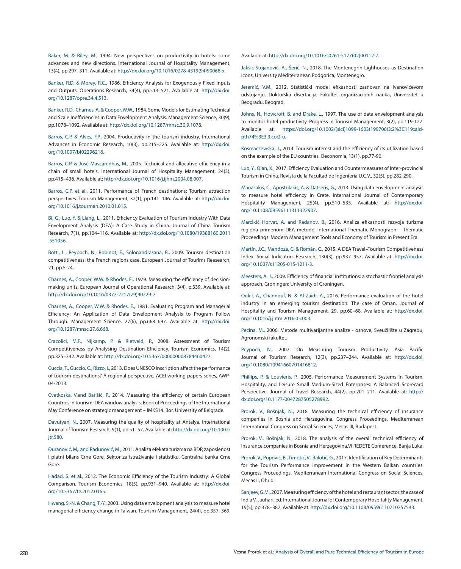Baker, M. & Riley, M., 1994. New perspectives on productivity in hotels: some advances and new directions. International Journal of Hospitality Management, 13(4), pp.297–311. Available at: [http://dx.doi.org/10.1016/0278-4319\(94\)90068-x.](http://dx.doi.org/10.1016/0278-4319%2894%2990068-x)

Banker, R.D. & Morey, R.C., 1986. Efficiency Analysis for Exogenously Fixed Inputs and Outputs. Operations Research, 34(4), pp.513–521. Available at: [http://dx.doi.](http://dx.doi.org/10.1287/opre.34.4.513) [org/10.1287/opre.34.4.513.](http://dx.doi.org/10.1287/opre.34.4.513)

Banker, R.D., Charnes, A. & Cooper, W.W., 1984. Some Models for Estimating Technical and Scale Inefficiencies in Data Envelopment Analysis. Management Science, 30(9), pp.1078–1092. Available at: [http://dx.doi.org/10.1287/mnsc.30.9.1078.](http://dx.doi.org/10.1287/mnsc.30.9.1078)

Barros, C.P. & Alves, F.P., 2004. Productivity in the tourism industry. International Advances in Economic Research, 10(3), pp.215–225. Available at: [http://dx.doi.](http://dx.doi.org/10.1007/bf02296216) [org/10.1007/bf02296216](http://dx.doi.org/10.1007/bf02296216).

Barros, C.P. & José Mascarenhas, M., 2005. Technical and allocative efficiency in a chain of small hotels. International Journal of Hospitality Management, 24(3), pp.415–436. Available at: [http://dx.doi.org/10.1016/j.ijhm.2004.08.007.](http://dx.doi.org/10.1016/j.ijhm.2004.08.007)

Barros, C.P. et al., 2011. Performance of French destinations: Tourism attraction perspectives. Tourism Management, 32(1), pp.141–146. Available at: [http://dx.doi.](http://dx.doi.org/10.1016/j.tourman.2010.01.015) [org/10.1016/j.tourman.2010.01.015.](http://dx.doi.org/10.1016/j.tourman.2010.01.015)

Bi, G., Luo, Y. & Liang, L., 2011. Efficiency Evaluation of Tourism Industry With Data Envelopment Analysis (DEA): A Case Study in China. Journal of China Tourism Research, 7(1), pp.104–116. Available at: [http://dx.doi.org/10.1080/19388160.2011](http://dx.doi.org/10.1080/19388160.2011.551056) [.551056.](http://dx.doi.org/10.1080/19388160.2011.551056)

Botti, L., Peypoch, N., Robinot, E., Solonandrasana, B., 2009. Tourism destination competitiveness: the French regions case. European Journal of Tourims Reasearch, 21, pp.5-24.

Charnes, A., Cooper, W.W. & Rhodes, E., 1979. Measuring the efficiency of decisionmaking units. European Journal of Operational Research, 3(4), p.339. Available at: [http://dx.doi.org/10.1016/0377-2217\(79\)90229-7.](http://dx.doi.org/10.1016/0377-2217%2879%2990229-7)

Charnes, A., Cooper, W.W. & Rhodes, E., 1981. Evaluating Program and Managerial Efficiency: An Application of Data Envelopment Analysis to Program Follow Through. Management Science, 27(6), pp.668–697. Available at: [http://dx.doi.](http://dx.doi.org/10.1287/mnsc.27.6.668) [org/10.1287/mnsc.27.6.668](http://dx.doi.org/10.1287/mnsc.27.6.668).

Cracolici, M.F., Nijkamp, P. & Rietveld, P., 2008. Assessment of Tourism Competitiveness by Analysing Destination Efficiency. Tourism Economics, 14(2), pp.325–342. Available at: <http://dx.doi.org/10.5367/000000008784460427>.

Cuccia, T., Guccio, C., Rizzo, I., 2013. Does UNESCO inscription affect the performance of tourism destinations? A regional perspective, ACEI working papers series, AWP-04-2013.

Cvetkoska, V.and Barišić, P., 2014. Measuring the efficiency of certain European Countries in tourism: DEA window analysis. Book of Proceedings of the International May Conference on strategic management – IMKS14. Bor, University of Belgrade.

Davutyan, N., 2007. Measuring the quality of hospitality at Antalya. International Journal of Tourism Research, 9(1), pp.51–57. Available at: [http://dx.doi.org/10.1002/](http://dx.doi.org/10.1002/jtr.580) [jtr.580.](http://dx.doi.org/10.1002/jtr.580)

Đuranović, M,. and Radunović, M., 2011. Analiza efekata turizma na BDP, zaposlenost i platni bilans Crne Gore. Sektor za istraživanje i statistiku. Centralna banka Crne Gore.

Hadad, S. et al., 2012. The Economic Efficiency of the Tourism Industry: A Global Comparison. Tourism Economics, 18(5), pp.931–940. Available at: [http://dx.doi.](http://dx.doi.org/10.5367/te.2012.0165) [org/10.5367/te.2012.0165.](http://dx.doi.org/10.5367/te.2012.0165)

Hwang, S.-N. & Chang, T.-Y., 2003. Using data envelopment analysis to measure hotel managerial efficiency change in Taiwan. Tourism Management, 24(4), pp.357–369.

Available at: [http://dx.doi.org/10.1016/s0261-5177\(02\)00112-7](http://dx.doi.org/10.1016/s0261-5177%2802%2900112-7).

Jakšić-Stojanović, A., Šerić, N., 2018, The Montenegrin Lighhouses as Destination Icons, University Mediterranean Podgorica, Montenegro.

Jeremić, V.M., 2012. Statistički model efikasnosti zasnovan na Ivanovićevom odstojanju. Doktorska disertacija, Fakultet organizacionih nauka, Univerzitet u Beogradu, Beograd.

Johns, N., Howcroft, B. and Drake, L., 1997. The use of data envelopment analysis to monitor hotel productivity. Progress in Tourism Management, 3(2), pp.119-127. Available at: [https://doi.org/10.1002/\(sici\)1099-1603\(199706\)3:2%3C119::aid](https://doi.org/10.1002/%28sici%291099-1603%28199706%293:2%253C119::aid-pth74%253E3.3.co%3B2-u)[pth74%3E3.3.co;2-u.](https://doi.org/10.1002/%28sici%291099-1603%28199706%293:2%253C119::aid-pth74%253E3.3.co%3B2-u)

Kosmaczewska, J., 2014. Tourism interest and the efficiency of its utilization based on the example of the EU countries. Oeconomia, 13(1), pp.77-90.

Luo, Y., Qian, X., 2017. Efficiency Evaluation and Countermeasures of Inter-provincial Tourism in China. Revista de la Facultad de Ingenieria U.C.V., 32(5), pp.282-290.

Manasakis, C., Apostolakis, A. & Datseris, G., 2013. Using data envelopment analysis to measure hotel efficiency in Crete. International Journal of Contemporary Hospitality Management, 25(4), pp.510–535. Available at: [http://dx.doi.](http://dx.doi.org/10.1108/09596111311322907) [org/10.1108/09596111311322907.](http://dx.doi.org/10.1108/09596111311322907)

Marcikić Horvat, A. and Radanov, B., 2016. Analiza efikasnosti razvoja turizma regiona primenom DEA metode. International Thematic Monograph – Thematic Proceedings: Modern Management Tools and Economy of Tourism in Present Era.

Martín, J.C., Mendoza, C. & Román, C., 2015. A DEA Travel–Tourism Competitiveness Index. Social Indicators Research, 130(3), pp.937–957. Available at: [http://dx.doi.](http://dx.doi.org/10.1007/s11205-015-1211-3) [org/10.1007/s11205-015-1211-3.](http://dx.doi.org/10.1007/s11205-015-1211-3)

Meesters, A. J., 2009. Efficiency of financial institutions: a stochastic frontiel analysis approach. Groningen: University of Groningen.

Oukil, A., Channouf, N. & Al-Zaidi, A., 2016. Performance evaluation of the hotel industry in an emerging tourism destination: The case of Oman. Journal of Hospitality and Tourism Management, 29, pp.60–68. Available at: [http://dx.doi.](http://dx.doi.org/10.1016/j.jhtm.2016.05.003) [org/10.1016/j.jhtm.2016.05.003](http://dx.doi.org/10.1016/j.jhtm.2016.05.003).

Pecina, M., 2006. Metode multivarijantne analize - osnove, Sveučilište u Zagrebu, Agronomski fakultet.

Peypoch, N., 2007. On Measuring Tourism Productivity. Asia Pacific Journal of Tourism Research, 12(3), pp.237–244. Available at: [http://dx.doi.](http://dx.doi.org/10.1080/10941660701416812) [org/10.1080/10941660701416812.](http://dx.doi.org/10.1080/10941660701416812)

Phillips, P. & Louvieris, P., 2005. Performance Measurement Systems in Tourism, Hospitality, and Leisure Small Medium-Sized Enterprises: A Balanced Scorecard Perspective. Journal of Travel Research, 44(2), pp.201–211. Available at: [http://](http://dx.doi.org/10.1177/0047287505278992) [dx.doi.org/10.1177/0047287505278992.](http://dx.doi.org/10.1177/0047287505278992)

Prorok, V., Bošnjak, N., 2018. Measuring the technical efficiency of insurance companies in Bosnia and Herzegovina. Congress Proceedings, Mediterranean International Congress on Social Sciences, Mecas III, Budapest.

Prorok, V., Bošnjak, N., 2018. The analysis of the overall technical efficiency of insurance companies in Bosnia and Herzegovina.VI REDETE Conference, Banja Luka.

Prorok, V., Popović, B., Timotić, V., Balotić, G., 2017. Identification of Key Determinants for the Tourism Performance Improvement in the Western Balkan countries. Congress Proceedings, Mediterranean International Congress on Social Sciences, Mecas II, Ohrid.

Sanjeev, G.M., 2007. Measuring efficiency of the hotel and restaurant sector: the case of India V. Jauhari, ed. International Journal of Contemporary Hospitality Management, 19(5), pp.378–387. Available at: [http://dx.doi.org/10.1108/09596110710757543.](http://dx.doi.org/10.1108/09596110710757543)